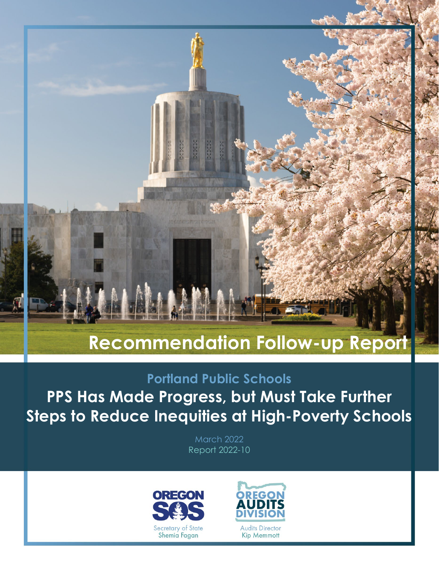## **Recommendation Follow-up Repor**

### **Portland Public Schools**

**PPS Has Made Progress, but Must Take Further Steps to Reduce Inequities at High-Poverty Schools**

> March 2022 Report 2022-10



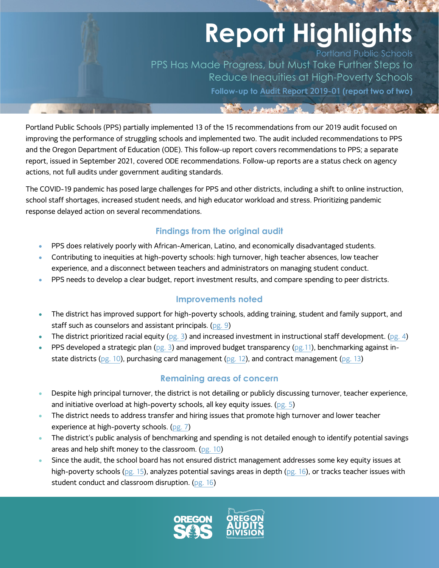# **Report Highlights**

Portland Public Schools PPS Has Made Progress, but Must Take Further Steps to Reduce Inequities at High-Poverty Schools **Follow-up to [Audit Report 2019-01](https://sos.oregon.gov/audits/Documents/2019-01.pdf) (report two of two)**

BOTTOM AND AND A PARTIES OF THE CONTRACTOR

Portland Public Schools (PPS) partially implemented 13 of the 15 recommendations from our 2019 audit focused on improving the performance of struggling schools and implemented two. The audit included recommendations to PPS and the Oregon Department of Education (ODE). This follow-up report covers recommendations to PPS; a separate report, issued in September 2021, covered ODE recommendations. Follow-up reports are a status check on agency actions, not full audits under government auditing standards.

The COVID-19 pandemic has posed large challenges for PPS and other districts, including a shift to online instruction, school staff shortages, increased student needs, and high educator workload and stress. Prioritizing pandemic response delayed action on several recommendations.

#### **Findings from the original audit**

- PPS does relatively poorly with African-American, Latino, and economically disadvantaged students.
- Contributing to inequities at high-poverty schools: high turnover, high teacher absences, low teacher experience, and a disconnect between teachers and administrators on managing student conduct.
- PPS needs to develop a clear budget, report investment results, and compare spending to peer districts.

#### **Improvements noted**

- The district has improved support for high-poverty schools, adding training, student and family support, and staff such as counselors and assistant principals. [\(pg. 9\)](#page-10-0)
- The district prioritized racial equity [\(pg. 3\)](#page-4-0) and increased investment in instructional staff development. [\(pg. 4\)](#page-5-0)
- PPS developed a strategic plan [\(pg. 3\)](#page-4-0) and improved budget transparency [\(pg.11\)](#page-12-0), benchmarking against in-state districts [\(pg. 10\)](#page-11-0), purchasing card management [\(pg.](#page-13-0) 12), and contract management [\(pg. 13\)](#page-14-0)

#### **Remaining areas of concern**

- Despite high principal turnover, the district is not detailing or publicly discussing turnover, teacher experience, and initiative overload at high-poverty schools, all key equity issues. [\(pg.](#page-6-0) 5)
- The district needs to address transfer and hiring issues that promote high turnover and lower teacher experience at high-poverty schools. [\(pg. 7\)](#page-8-0)
- The district's public analysis of benchmarking and spending is not detailed enough to identify potential savings areas and help shift money to the classroom. [\(pg. 10\)](#page-11-0)
- Since the audit, the school board has not ensured district management addresses some key equity issues at high-poverty schools [\(pg. 15\)](#page-16-0), analyzes potential savings areas in depth [\(pg. 16\)](#page-17-0), or tracks teacher issues with student conduct and classroom disruption. [\(pg. 16\)](#page-17-1)

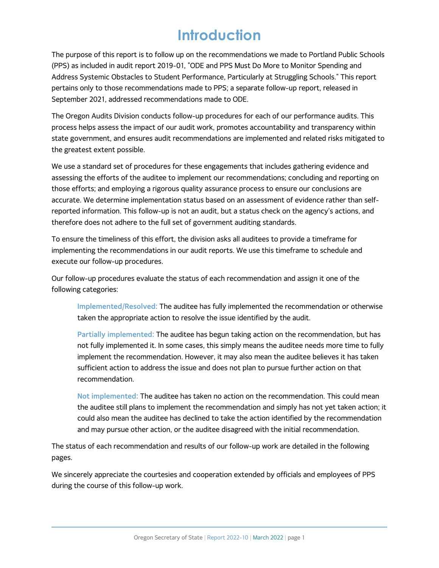## **Introduction**

The purpose of this report is to follow up on the recommendations we made to Portland Public Schools (PPS) as included in audit report 2019-01, "ODE and PPS Must Do More to Monitor Spending and Address Systemic Obstacles to Student Performance, Particularly at Struggling Schools." This report pertains only to those recommendations made to PPS; a separate follow-up report, released in September 2021, addressed recommendations made to ODE.

The Oregon Audits Division conducts follow-up procedures for each of our performance audits. This process helps assess the impact of our audit work, promotes accountability and transparency within state government, and ensures audit recommendations are implemented and related risks mitigated to the greatest extent possible.

We use a standard set of procedures for these engagements that includes gathering evidence and assessing the efforts of the auditee to implement our recommendations; concluding and reporting on those efforts; and employing a rigorous quality assurance process to ensure our conclusions are accurate. We determine implementation status based on an assessment of evidence rather than selfreported information. This follow-up is not an audit, but a status check on the agency's actions, and therefore does not adhere to the full set of government auditing standards.

To ensure the timeliness of this effort, the division asks all auditees to provide a timeframe for implementing the recommendations in our audit reports. We use this timeframe to schedule and execute our follow-up procedures.

Our follow-up procedures evaluate the status of each recommendation and assign it one of the following categories:

**Implemented/Resolved:** The auditee has fully implemented the recommendation or otherwise taken the appropriate action to resolve the issue identified by the audit.

**Partially implemented:** The auditee has begun taking action on the recommendation, but has not fully implemented it. In some cases, this simply means the auditee needs more time to fully implement the recommendation. However, it may also mean the auditee believes it has taken sufficient action to address the issue and does not plan to pursue further action on that recommendation.

**Not implemented:** The auditee has taken no action on the recommendation. This could mean the auditee still plans to implement the recommendation and simply has not yet taken action; it could also mean the auditee has declined to take the action identified by the recommendation and may pursue other action, or the auditee disagreed with the initial recommendation.

The status of each recommendation and results of our follow-up work are detailed in the following pages.

We sincerely appreciate the courtesies and cooperation extended by officials and employees of PPS during the course of this follow-up work.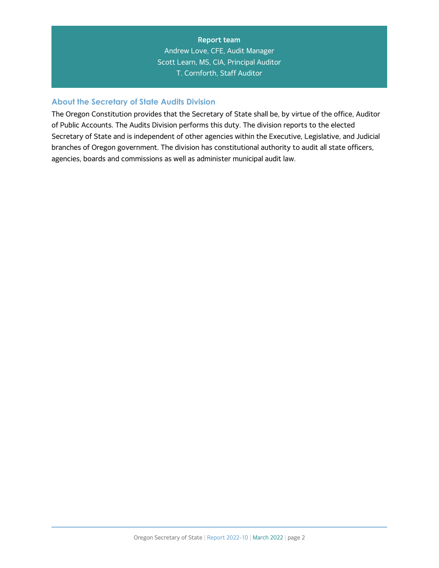#### **Report team** Andrew Love, CFE, Audit Manager Scott Learn, MS, CIA, Principal Auditor T. Cornforth, Staff Auditor

#### **About the Secretary of State Audits Division**

The Oregon Constitution provides that the Secretary of State shall be, by virtue of the office, Auditor of Public Accounts. The Audits Division performs this duty. The division reports to the elected Secretary of State and is independent of other agencies within the Executive, Legislative, and Judicial branches of Oregon government. The division has constitutional authority to audit all state officers, agencies, boards and commissions as well as administer municipal audit law.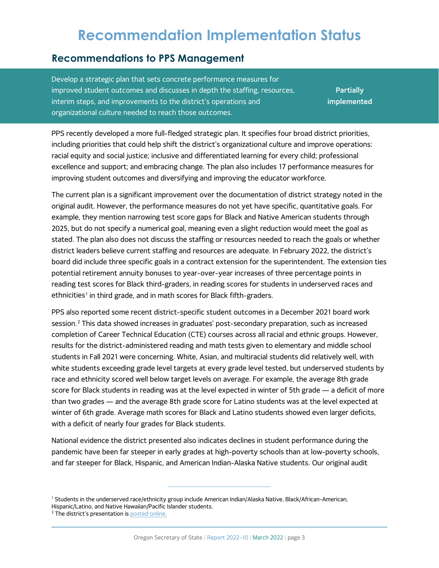## **Recommendation Implementation Status**

#### <span id="page-4-3"></span>**Recommendations to PPS Management**

<span id="page-4-0"></span>Develop a strategic plan that sets concrete performance measures for improved student outcomes and discusses in depth the staffing, resources, interim steps, and improvements to the district's operations and organizational culture needed to reach those outcomes.

**Partially implemented**

PPS recently developed a more full-fledged strategic plan. It specifies four broad district priorities, including priorities that could help shift the district's organizational culture and improve operations: racial equity and social justice; inclusive and differentiated learning for every child; professional excellence and support; and embracing change. The plan also includes 17 performance measures for improving student outcomes and diversifying and improving the educator workforce.

The current plan is a significant improvement over the documentation of district strategy noted in the original audit. However, the performance measures do not yet have specific, quantitative goals. For example, they mention narrowing test score gaps for Black and Native American students through 2025, but do not specify a numerical goal, meaning even a slight reduction would meet the goal as stated. The plan also does not discuss the staffing or resources needed to reach the goals or whether district leaders believe current staffing and resources are adequate. In February 2022, the district's board did include three specific goals in a contract extension for the superintendent. The extension ties potential retirement annuity bonuses to year-over-year increases of three percentage points in reading test scores for Black third-graders, in reading scores for students in underserved races and ethnicities<sup>[1](#page-4-1)</sup> in third grade, and in math scores for Black fifth-graders.

PPS also reported some recent district-specific student outcomes in a December 2021 board work session.[2](#page-4-2) This data showed increases in graduates' post-secondary preparation, such as increased completion of Career Technical Education (CTE) courses across all racial and ethnic groups. However, results for the district-administered reading and math tests given to elementary and middle school students in Fall 2021 were concerning. White, Asian, and multiracial students did relatively well, with white students exceeding grade level targets at every grade level tested, but underserved students by race and ethnicity scored well below target levels on average. For example, the average 8th grade score for Black students in reading was at the level expected in winter of 5th grade — a deficit of more than two grades — and the average 8th grade score for Latino students was at the level expected at winter of 6th grade. Average math scores for Black and Latino students showed even larger deficits, with a deficit of nearly four grades for Black students.

National evidence the district presented also indicates declines in student performance during the pandemic have been far steeper in early grades at high-poverty schools than at low-poverty schools, and far steeper for Black, Hispanic, and American Indian-Alaska Native students. Our original audit

<span id="page-4-1"></span><sup>1</sup> Students in the underserved race/ethnicity group include American Indian/Alaska Native, Black/African-American,

Hispanic/Latino, and Native Hawaiian/Pacific Islander students.

<span id="page-4-2"></span><sup>&</sup>lt;sup>2</sup> The district's presentation i[s posted online.](https://meetings.boardbook.org/Public/Agenda/915?meeting=507633)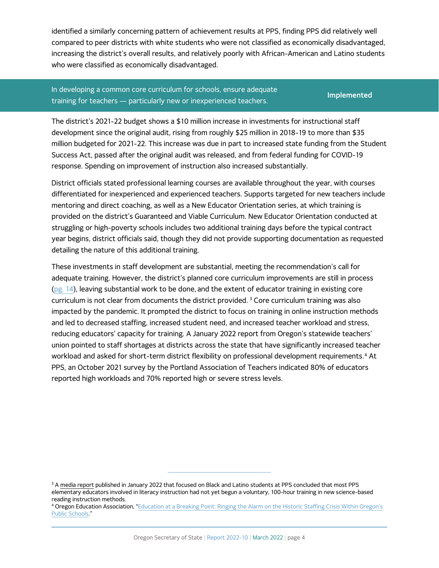identified a similarly concerning pattern of achievement results at PPS, finding PPS did relatively well compared to peer districts with white students who were not classified as economically disadvantaged, increasing the district's overall results, and relatively poorly with African-American and Latino students who were classified as economically disadvantaged.

#### <span id="page-5-0"></span>In developing a common core curriculum for schools, ensure adequate training for teachers — particularly new or inexperienced teachers. **Implemented**

The district's 2021-22 budget shows a \$10 million increase in investments for instructional staff development since the original audit, rising from roughly \$25 million in 2018-19 to more than \$35 million budgeted for 2021-22. This increase was due in part to increased state funding from the Student Success Act, passed after the original audit was released, and from federal funding for COVID-19 response. Spending on improvement of instruction also increased substantially.

District officials stated professional learning courses are available throughout the year, with courses differentiated for inexperienced and experienced teachers. Supports targeted for new teachers include mentoring and direct coaching, as well as a New Educator Orientation series, at which training is provided on the district's Guaranteed and Viable Curriculum. New Educator Orientation conducted at struggling or high-poverty schools includes two additional training days before the typical contract year begins, district officials said, though they did not provide supporting documentation as requested detailing the nature of this additional training.

These investments in staff development are substantial, meeting the recommendation's call for adequate training. However, the district's planned core curriculum improvements are still in process [\(pg. 14\)](#page-15-0), leaving substantial work to be done, and the extent of educator training in existing core curriculum is not clear from documents the district provided. [3](#page-5-1) Core curriculum training was also impacted by the pandemic. It prompted the district to focus on training in online instruction methods and led to decreased staffing, increased student need, and increased teacher workload and stress, reducing educators' capacity for training. A January 2022 report from Oregon's statewide teachers' union pointed to staff shortages at districts across the state that have significantly increased teacher workload and asked for short-term district flexibility on professional development requirements.<sup>[4](#page-5-2)</sup> At PPS, an October 2021 survey by the Portland Association of Teachers indicated 80% of educators reported high workloads and 70% reported high or severe stress levels.

<span id="page-5-1"></span><sup>&</sup>lt;sup>3</sup> [A media report](https://www.oregonlive.com/education/2022/01/left-behind-portlands-black-and-latino-students-shortchanged-from-the-earliest-grades-belying-pledge-to-put-them-first.html#:%7E:text=It%20uncovered%20yawning%20racial%20gaps,%2C%20behind%20grade%2Dlevel%20expectations.) published in January 2022 that focused on Black and Latino students at PPS concluded that most PPS elementary educators involved in literacy instruction had not yet begun a voluntary, 100-hour training in new science-based reading instruction methods.

<span id="page-5-2"></span><sup>4</sup> Oregon Education Association, "Education at a Breaking Point: Ringing the Alarm on the Historic Staffing Crisis Within Oregon's [Public Schools."](https://www.oregoned.org/uploads/02_docs/EducatorStaffingCrisis_Report_2021_v2.pdf)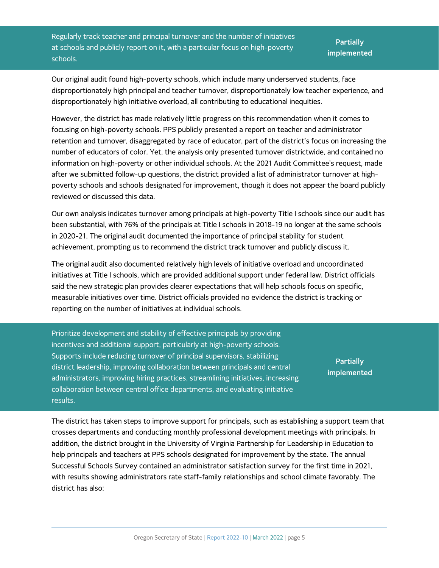<span id="page-6-0"></span>Regularly track teacher and principal turnover and the number of initiatives at schools and publicly report on it, with a particular focus on high-poverty schools.

**Partially implemented**

Our original audit found high-poverty schools, which include many underserved students, face disproportionately high principal and teacher turnover, disproportionately low teacher experience, and disproportionately high initiative overload, all contributing to educational inequities.

However, the district has made relatively little progress on this recommendation when it comes to focusing on high-poverty schools. PPS publicly presented a report on teacher and administrator retention and turnover, disaggregated by race of educator, part of the district's focus on increasing the number of educators of color. Yet, the analysis only presented turnover districtwide, and contained no information on high-poverty or other individual schools. At the 2021 Audit Committee's request, made after we submitted follow-up questions, the district provided a list of administrator turnover at highpoverty schools and schools designated for improvement, though it does not appear the board publicly reviewed or discussed this data.

Our own analysis indicates turnover among principals at high-poverty Title I schools since our audit has been substantial, with 76% of the principals at Title I schools in 2018-19 no longer at the same schools in 2020-21. The original audit documented the importance of principal stability for student achievement, prompting us to recommend the district track turnover and publicly discuss it.

The original audit also documented relatively high levels of initiative overload and uncoordinated initiatives at Title I schools, which are provided additional support under federal law. District officials said the new strategic plan provides clearer expectations that will help schools focus on specific, measurable initiatives over time. District officials provided no evidence the district is tracking or reporting on the number of initiatives at individual schools.

Prioritize development and stability of effective principals by providing incentives and additional support, particularly at high-poverty schools. Supports include reducing turnover of principal supervisors, stabilizing district leadership, improving collaboration between principals and central administrators, improving hiring practices, streamlining initiatives, increasing collaboration between central office departments, and evaluating initiative results.

**Partially implemented**

The district has taken steps to improve support for principals, such as establishing a support team that crosses departments and conducting monthly professional development meetings with principals. In addition, the district brought in the University of Virginia Partnership for Leadership in Education to help principals and teachers at PPS schools designated for improvement by the state. The annual Successful Schools Survey contained an administrator satisfaction survey for the first time in 2021, with results showing administrators rate staff-family relationships and school climate favorably. The district has also: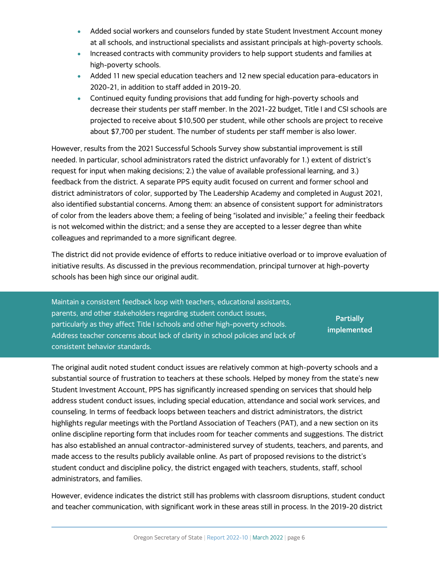- Added social workers and counselors funded by state Student Investment Account money at all schools, and instructional specialists and assistant principals at high-poverty schools.
- Increased contracts with community providers to help support students and families at high-poverty schools.
- Added 11 new special education teachers and 12 new special education para-educators in 2020-21, in addition to staff added in 2019-20.
- Continued equity funding provisions that add funding for high-poverty schools and decrease their students per staff member. In the 2021-22 budget, Title I and CSI schools are projected to receive about \$10,500 per student, while other schools are project to receive about \$7,700 per student. The number of students per staff member is also lower.

However, results from the 2021 Successful Schools Survey show substantial improvement is still needed. In particular, school administrators rated the district unfavorably for 1.) extent of district's request for input when making decisions; 2.) the value of available professional learning, and 3.) feedback from the district. A separate PPS equity audit focused on current and former school and district administrators of color, supported by The Leadership Academy and completed in August 2021, also identified substantial concerns. Among them: an absence of consistent support for administrators of color from the leaders above them; a feeling of being "isolated and invisible;" a feeling their feedback is not welcomed within the district; and a sense they are accepted to a lesser degree than white colleagues and reprimanded to a more significant degree.

The district did not provide evidence of efforts to reduce initiative overload or to improve evaluation of initiative results. As discussed in the previous recommendation, principal turnover at high-poverty schools has been high since our original audit.

<span id="page-7-0"></span>Maintain a consistent feedback loop with teachers, educational assistants, parents, and other stakeholders regarding student conduct issues, particularly as they affect Title I schools and other high-poverty schools. Address teacher concerns about lack of clarity in school policies and lack of consistent behavior standards. **Partially implemented**

The original audit noted student conduct issues are relatively common at high-poverty schools and a substantial source of frustration to teachers at these schools. Helped by money from the state's new Student Investment Account, PPS has significantly increased spending on services that should help address student conduct issues, including special education, attendance and social work services, and counseling. In terms of feedback loops between teachers and district administrators, the district highlights regular meetings with the Portland Association of Teachers (PAT), and a new section on its online discipline reporting form that includes room for teacher comments and suggestions. The district has also established an annual contractor-administered survey of students, teachers, and parents, and made access to the results publicly available online. As part of proposed revisions to the district's student conduct and discipline policy, the district engaged with teachers, students, staff, school administrators, and families.

However, evidence indicates the district still has problems with classroom disruptions, student conduct and teacher communication, with significant work in these areas still in process. In the 2019-20 district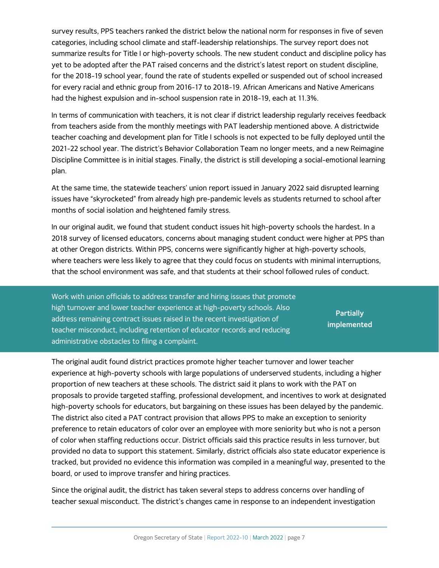survey results, PPS teachers ranked the district below the national norm for responses in five of seven categories, including school climate and staff-leadership relationships. The survey report does not summarize results for Title I or high-poverty schools. The new student conduct and discipline policy has yet to be adopted after the PAT raised concerns and the district's latest report on student discipline, for the 2018-19 school year, found the rate of students expelled or suspended out of school increased for every racial and ethnic group from 2016-17 to 2018-19. African Americans and Native Americans had the highest expulsion and in-school suspension rate in 2018-19, each at 11.3%.

In terms of communication with teachers, it is not clear if district leadership regularly receives feedback from teachers aside from the monthly meetings with PAT leadership mentioned above. A districtwide teacher coaching and development plan for Title I schools is not expected to be fully deployed until the 2021-22 school year. The district's Behavior Collaboration Team no longer meets, and a new Reimagine Discipline Committee is in initial stages. Finally, the district is still developing a social-emotional learning plan.

At the same time, the statewide teachers' union report issued in January 2022 said disrupted learning issues have "skyrocketed" from already high pre-pandemic levels as students returned to school after months of social isolation and heightened family stress.

In our original audit, we found that student conduct issues hit high-poverty schools the hardest. In a 2018 survey of licensed educators, concerns about managing student conduct were higher at PPS than at other Oregon districts. Within PPS, concerns were significantly higher at high-poverty schools, where teachers were less likely to agree that they could focus on students with minimal interruptions, that the school environment was safe, and that students at their school followed rules of conduct.

<span id="page-8-0"></span>Work with union officials to address transfer and hiring issues that promote high turnover and lower teacher experience at high-poverty schools. Also address remaining contract issues raised in the recent investigation of teacher misconduct, including retention of educator records and reducing administrative obstacles to filing a complaint.

**Partially implemented**

The original audit found district practices promote higher teacher turnover and lower teacher experience at high-poverty schools with large populations of underserved students, including a higher proportion of new teachers at these schools. The district said it plans to work with the PAT on proposals to provide targeted staffing, professional development, and incentives to work at designated high-poverty schools for educators, but bargaining on these issues has been delayed by the pandemic. The district also cited a PAT contract provision that allows PPS to make an exception to seniority preference to retain educators of color over an employee with more seniority but who is not a person of color when staffing reductions occur. District officials said this practice results in less turnover, but provided no data to support this statement. Similarly, district officials also state educator experience is tracked, but provided no evidence this information was compiled in a meaningful way, presented to the board, or used to improve transfer and hiring practices.

Since the original audit, the district has taken several steps to address concerns over handling of teacher sexual misconduct. The district's changes came in response to an independent investigation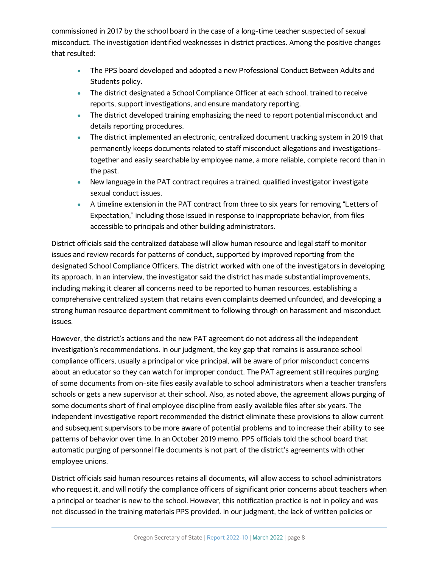commissioned in 2017 by the school board in the case of a long-time teacher suspected of sexual misconduct. The investigation identified weaknesses in district practices. Among the positive changes that resulted:

- The PPS board developed and adopted a new Professional Conduct Between Adults and Students policy.
- The district designated a School Compliance Officer at each school, trained to receive reports, support investigations, and ensure mandatory reporting.
- The district developed training emphasizing the need to report potential misconduct and details reporting procedures.
- The district implemented an electronic, centralized document tracking system in 2019 that permanently keeps documents related to staff misconduct allegations and investigationstogether and easily searchable by employee name, a more reliable, complete record than in the past.
- New language in the PAT contract requires a trained, qualified investigator investigate sexual conduct issues.
- A timeline extension in the PAT contract from three to six years for removing "Letters of Expectation," including those issued in response to inappropriate behavior, from files accessible to principals and other building administrators.

District officials said the centralized database will allow human resource and legal staff to monitor issues and review records for patterns of conduct, supported by improved reporting from the designated School Compliance Officers. The district worked with one of the investigators in developing its approach. In an interview, the investigator said the district has made substantial improvements, including making it clearer all concerns need to be reported to human resources, establishing a comprehensive centralized system that retains even complaints deemed unfounded, and developing a strong human resource department commitment to following through on harassment and misconduct issues.

However, the district's actions and the new PAT agreement do not address all the independent investigation's recommendations. In our judgment, the key gap that remains is assurance school compliance officers, usually a principal or vice principal, will be aware of prior misconduct concerns about an educator so they can watch for improper conduct. The PAT agreement still requires purging of some documents from on-site files easily available to school administrators when a teacher transfers schools or gets a new supervisor at their school. Also, as noted above, the agreement allows purging of some documents short of final employee discipline from easily available files after six years. The independent investigative report recommended the district eliminate these provisions to allow current and subsequent supervisors to be more aware of potential problems and to increase their ability to see patterns of behavior over time. In an October 2019 memo, PPS officials told the school board that automatic purging of personnel file documents is not part of the district's agreements with other employee unions.

District officials said human resources retains all documents, will allow access to school administrators who request it, and will notify the compliance officers of significant prior concerns about teachers when a principal or teacher is new to the school. However, this notification practice is not in policy and was not discussed in the training materials PPS provided. In our judgment, the lack of written policies or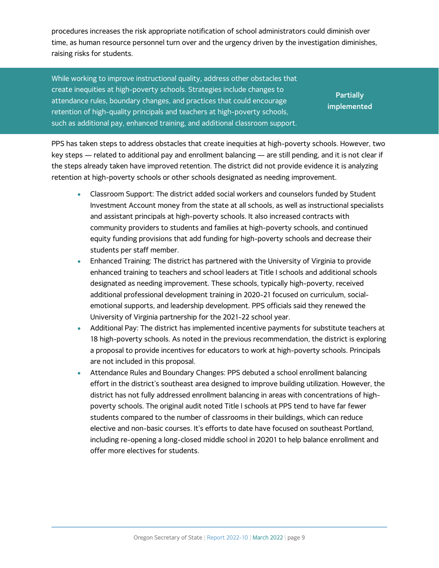procedures increases the risk appropriate notification of school administrators could diminish over time, as human resource personnel turn over and the urgency driven by the investigation diminishes, raising risks for students.

<span id="page-10-0"></span>While working to improve instructional quality, address other obstacles that create inequities at high-poverty schools. Strategies include changes to attendance rules, boundary changes, and practices that could encourage retention of high-quality principals and teachers at high-poverty schools, such as additional pay, enhanced training, and additional classroom support.

**Partially implemented**

PPS has taken steps to address obstacles that create inequities at high-poverty schools. However, two key steps — related to additional pay and enrollment balancing — are still pending, and it is not clear if the steps already taken have improved retention. The district did not provide evidence it is analyzing retention at high-poverty schools or other schools designated as needing improvement.

- Classroom Support: The district added social workers and counselors funded by Student Investment Account money from the state at all schools, as well as instructional specialists and assistant principals at high-poverty schools. It also increased contracts with community providers to students and families at high-poverty schools, and continued equity funding provisions that add funding for high-poverty schools and decrease their students per staff member.
- Enhanced Training: The district has partnered with the University of Virginia to provide enhanced training to teachers and school leaders at Title I schools and additional schools designated as needing improvement. These schools, typically high-poverty, received additional professional development training in 2020-21 focused on curriculum, socialemotional supports, and leadership development. PPS officials said they renewed the University of Virginia partnership for the 2021-22 school year.
- Additional Pay: The district has implemented incentive payments for substitute teachers at 18 high-poverty schools. As noted in the previous recommendation, the district is exploring a proposal to provide incentives for educators to work at high-poverty schools. Principals are not included in this proposal.
- Attendance Rules and Boundary Changes: PPS debuted a school enrollment balancing effort in the district's southeast area designed to improve building utilization. However, the district has not fully addressed enrollment balancing in areas with concentrations of highpoverty schools. The original audit noted Title I schools at PPS tend to have far fewer students compared to the number of classrooms in their buildings, which can reduce elective and non-basic courses. It's efforts to date have focused on southeast Portland, including re-opening a long-closed middle school in 20201 to help balance enrollment and offer more electives for students.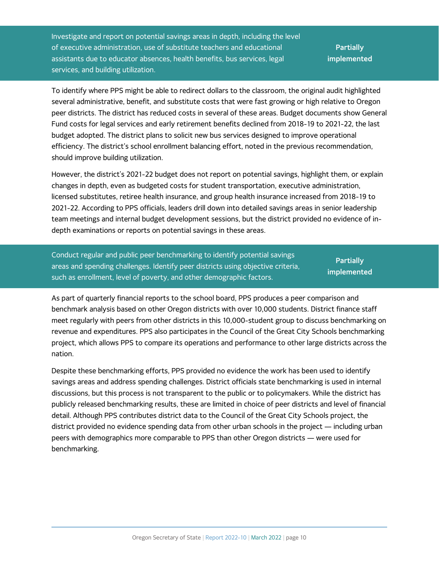Investigate and report on potential savings areas in depth, including the level of executive administration, use of substitute teachers and educational assistants due to educator absences, health benefits, bus services, legal services, and building utilization.

**Partially implemented**

To identify where PPS might be able to redirect dollars to the classroom, the original audit highlighted several administrative, benefit, and substitute costs that were fast growing or high relative to Oregon peer districts. The district has reduced costs in several of these areas. Budget documents show General Fund costs for legal services and early retirement benefits declined from 2018-19 to 2021-22, the last budget adopted. The district plans to solicit new bus services designed to improve operational efficiency. The district's school enrollment balancing effort, noted in the previous recommendation, should improve building utilization.

However, the district's 2021-22 budget does not report on potential savings, highlight them, or explain changes in depth, even as budgeted costs for student transportation, executive administration, licensed substitutes, retiree health insurance, and group health insurance increased from 2018-19 to 2021-22. According to PPS officials, leaders drill down into detailed savings areas in senior leadership team meetings and internal budget development sessions, but the district provided no evidence of indepth examinations or reports on potential savings in these areas.

<span id="page-11-0"></span>Conduct regular and public peer benchmarking to identify potential savings areas and spending challenges. Identify peer districts using objective criteria, such as enrollment, level of poverty, and other demographic factors.

**Partially implemented**

As part of quarterly financial reports to the school board, PPS produces a peer comparison and benchmark analysis based on other Oregon districts with over 10,000 students. District finance staff meet regularly with peers from other districts in this 10,000-student group to discuss benchmarking on revenue and expenditures. PPS also participates in the Council of the Great City Schools benchmarking project, which allows PPS to compare its operations and performance to other large districts across the nation.

Despite these benchmarking efforts, PPS provided no evidence the work has been used to identify savings areas and address spending challenges. District officials state benchmarking is used in internal discussions, but this process is not transparent to the public or to policymakers. While the district has publicly released benchmarking results, these are limited in choice of peer districts and level of financial detail. Although PPS contributes district data to the Council of the Great City Schools project, the district provided no evidence spending data from other urban schools in the project — including urban peers with demographics more comparable to PPS than other Oregon districts — were used for benchmarking.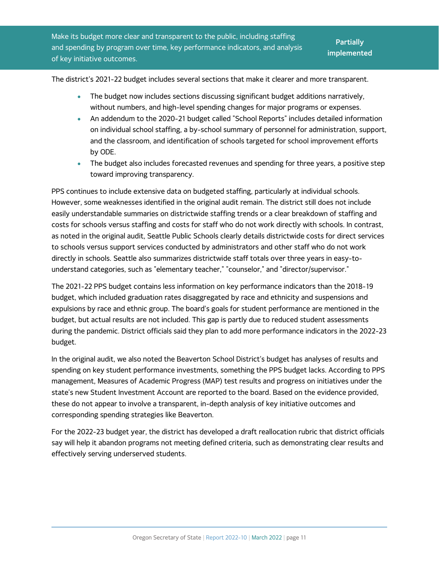<span id="page-12-0"></span>Make its budget more clear and transparent to the public, including staffing and spending by program over time, key performance indicators, and analysis of key initiative outcomes.

The district's 2021-22 budget includes several sections that make it clearer and more transparent.

- The budget now includes sections discussing significant budget additions narratively, without numbers, and high-level spending changes for major programs or expenses.
- An addendum to the 2020-21 budget called "School Reports" includes detailed information on individual school staffing, a by-school summary of personnel for administration, support, and the classroom, and identification of schools targeted for school improvement efforts by ODE.
- The budget also includes forecasted revenues and spending for three years, a positive step toward improving transparency.

PPS continues to include extensive data on budgeted staffing, particularly at individual schools. However, some weaknesses identified in the original audit remain. The district still does not include easily understandable summaries on districtwide staffing trends or a clear breakdown of staffing and costs for schools versus staffing and costs for staff who do not work directly with schools. In contrast, as noted in the original audit, Seattle Public Schools clearly details districtwide costs for direct services to schools versus support services conducted by administrators and other staff who do not work directly in schools. Seattle also summarizes districtwide staff totals over three years in easy-tounderstand categories, such as "elementary teacher," "counselor," and "director/supervisor."

The 2021-22 PPS budget contains less information on key performance indicators than the 2018-19 budget, which included graduation rates disaggregated by race and ethnicity and suspensions and expulsions by race and ethnic group. The board's goals for student performance are mentioned in the budget, but actual results are not included. This gap is partly due to reduced student assessments during the pandemic. District officials said they plan to add more performance indicators in the 2022-23 budget.

In the original audit, we also noted the Beaverton School District's budget has analyses of results and spending on key student performance investments, something the PPS budget lacks. According to PPS management, Measures of Academic Progress (MAP) test results and progress on initiatives under the state's new Student Investment Account are reported to the board. Based on the evidence provided, these do not appear to involve a transparent, in-depth analysis of key initiative outcomes and corresponding spending strategies like Beaverton.

For the 2022-23 budget year, the district has developed a draft reallocation rubric that district officials say will help it abandon programs not meeting defined criteria, such as demonstrating clear results and effectively serving underserved students.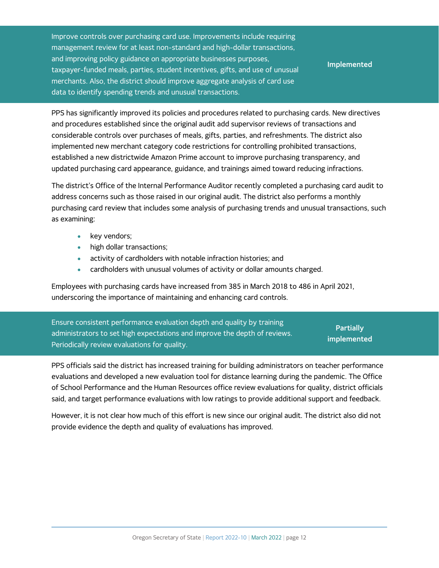<span id="page-13-0"></span>Improve controls over purchasing card use. Improvements include requiring management review for at least non-standard and high-dollar transactions, and improving policy guidance on appropriate businesses purposes, taxpayer-funded meals, parties, student incentives, gifts, and use of unusual merchants. Also, the district should improve aggregate analysis of card use data to identify spending trends and unusual transactions.

**Implemented**

PPS has significantly improved its policies and procedures related to purchasing cards. New directives and procedures established since the original audit add supervisor reviews of transactions and considerable controls over purchases of meals, gifts, parties, and refreshments. The district also implemented new merchant category code restrictions for controlling prohibited transactions, established a new districtwide Amazon Prime account to improve purchasing transparency, and updated purchasing card appearance, guidance, and trainings aimed toward reducing infractions.

The district's Office of the Internal Performance Auditor recently completed a purchasing card audit to address concerns such as those raised in our original audit. The district also performs a monthly purchasing card review that includes some analysis of purchasing trends and unusual transactions, such as examining:

- key vendors;
- high dollar transactions;
- activity of cardholders with notable infraction histories; and
- cardholders with unusual volumes of activity or dollar amounts charged.

Employees with purchasing cards have increased from 385 in March 2018 to 486 in April 2021, underscoring the importance of maintaining and enhancing card controls.

| Ensure consistent performance evaluation depth and quality by training    | <b>Partially</b> |
|---------------------------------------------------------------------------|------------------|
| administrators to set high expectations and improve the depth of reviews. |                  |
| Periodically review evaluations for quality.                              | implemented      |

PPS officials said the district has increased training for building administrators on teacher performance evaluations and developed a new evaluation tool for distance learning during the pandemic. The Office of School Performance and the Human Resources office review evaluations for quality, district officials said, and target performance evaluations with low ratings to provide additional support and feedback.

However, it is not clear how much of this effort is new since our original audit. The district also did not provide evidence the depth and quality of evaluations has improved.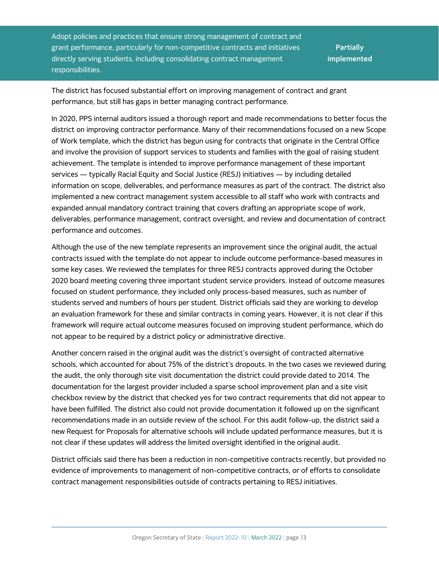<span id="page-14-0"></span>Adopt policies and practices that ensure strong management of contract and grant performance, particularly for non-competitive contracts and initiatives directly serving students, including consolidating contract management responsibilities.

**Partially implemented**

The district has focused substantial effort on improving management of contract and grant performance, but still has gaps in better managing contract performance.

In 2020, PPS internal auditors issued a thorough report and made recommendations to better focus the district on improving contractor performance. Many of their recommendations focused on a new Scope of Work template, which the district has begun using for contracts that originate in the Central Office and involve the provision of support services to students and families with the goal of raising student achievement. The template is intended to improve performance management of these important services — typically Racial Equity and Social Justice (RESJ) initiatives — by including detailed information on scope, deliverables, and performance measures as part of the contract. The district also implemented a new contract management system accessible to all staff who work with contracts and expanded annual mandatory contract training that covers drafting an appropriate scope of work, deliverables, performance management, contract oversight, and review and documentation of contract performance and outcomes.

Although the use of the new template represents an improvement since the original audit, the actual contracts issued with the template do not appear to include outcome performance-based measures in some key cases. We reviewed the templates for three RESJ contracts approved during the October 2020 board meeting covering three important student service providers. Instead of outcome measures focused on student performance, they included only process-based measures, such as number of students served and numbers of hours per student. District officials said they are working to develop an evaluation framework for these and similar contracts in coming years. However, it is not clear if this framework will require actual outcome measures focused on improving student performance, which do not appear to be required by a district policy or administrative directive.

Another concern raised in the original audit was the district's oversight of contracted alternative schools, which accounted for about 75% of the district's dropouts. In the two cases we reviewed during the audit, the only thorough site visit documentation the district could provide dated to 2014. The documentation for the largest provider included a sparse school improvement plan and a site visit checkbox review by the district that checked yes for two contract requirements that did not appear to have been fulfilled. The district also could not provide documentation it followed up on the significant recommendations made in an outside review of the school. For this audit follow-up, the district said a new Request for Proposals for alternative schools will include updated performance measures, but it is not clear if these updates will address the limited oversight identified in the original audit.

District officials said there has been a reduction in non-competitive contracts recently, but provided no evidence of improvements to management of non-competitive contracts, or of efforts to consolidate contract management responsibilities outside of contracts pertaining to RESJ initiatives.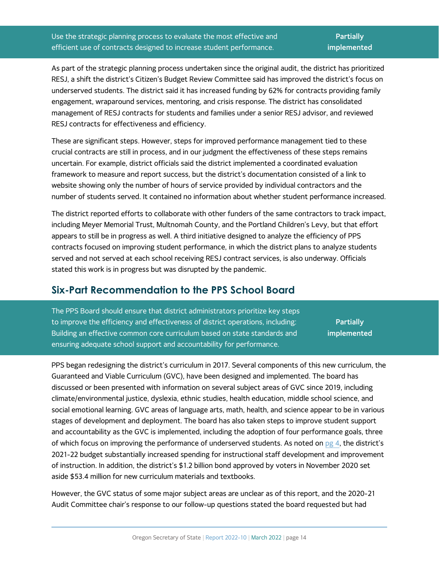Use the strategic planning process to evaluate the most effective and efficient use of contracts designed to increase student performance.

As part of the strategic planning process undertaken since the original audit, the district has prioritized RESJ, a shift the district's Citizen's Budget Review Committee said has improved the district's focus on underserved students. The district said it has increased funding by 62% for contracts providing family engagement, wraparound services, mentoring, and crisis response. The district has consolidated management of RESJ contracts for students and families under a senior RESJ advisor, and reviewed RESJ contracts for effectiveness and efficiency.

These are significant steps. However, steps for improved performance management tied to these crucial contracts are still in process, and in our judgment the effectiveness of these steps remains uncertain. For example, district officials said the district implemented a coordinated evaluation framework to measure and report success, but the district's documentation consisted of a link to website showing only the number of hours of service provided by individual contractors and the number of students served. It contained no information about whether student performance increased.

The district reported efforts to collaborate with other funders of the same contractors to track impact, including Meyer Memorial Trust, Multnomah County, and the Portland Children's Levy, but that effort appears to still be in progress as well. A third initiative designed to analyze the efficiency of PPS contracts focused on improving student performance, in which the district plans to analyze students served and not served at each school receiving RESJ contract services, is also underway. Officials stated this work is in progress but was disrupted by the pandemic.

#### **Six-Part Recommendation to the PPS School Board**

<span id="page-15-0"></span>The PPS Board should ensure that district administrators prioritize key steps to improve the efficiency and effectiveness of district operations, including: Building an effective common core curriculum based on state standards and ensuring adequate school support and accountability for performance. **Partially implemented**

PPS began redesigning the district's curriculum in 2017. Several components of this new curriculum, the Guaranteed and Viable Curriculum (GVC), have been designed and implemented. The board has discussed or been presented with information on several subject areas of GVC since 2019, including climate/environmental justice, dyslexia, ethnic studies, health education, middle school science, and social emotional learning. GVC areas of language arts, math, health, and science appear to be in various stages of development and deployment. The board has also taken steps to improve student support and accountability as the GVC is implemented, including the adoption of four performance goals, three of which focus on improving the performance of underserved students. As noted on  $pg$  4, the district's 2021-22 budget substantially increased spending for instructional staff development and improvement of instruction. In addition, the district's \$1.2 billion bond approved by voters in November 2020 set aside \$53.4 million for new curriculum materials and textbooks.

However, the GVC status of some major subject areas are unclear as of this report, and the 2020-21 Audit Committee chair's response to our follow-up questions stated the board requested but had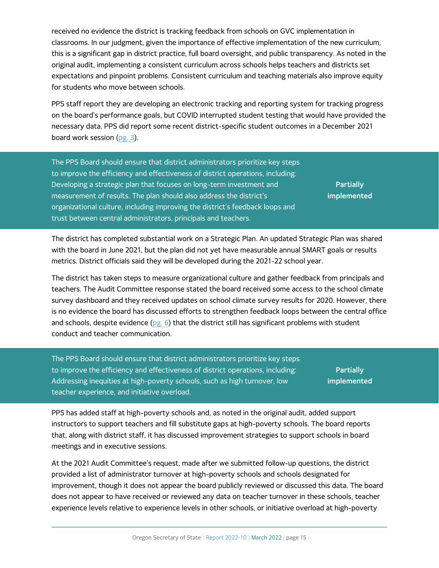received no evidence the district is tracking feedback from schools on GVC implementation in classrooms. In our judgment, given the importance of effective implementation of the new curriculum, this is a significant gap in district practice, full board oversight, and public transparency. As noted in the original audit, implementing a consistent curriculum across schools helps teachers and districts set expectations and pinpoint problems. Consistent curriculum and teaching materials also improve equity for students who move between schools.

PPS staff report they are developing an electronic tracking and reporting system for tracking progress on the board's performance goals, but COVID interrupted student testing that would have provided the necessary data. PPS did report some recent district-specific student outcomes in a December 2021 board work session [\(pg. 3\)](#page-4-3).

The PPS Board should ensure that district administrators prioritize key steps to improve the efficiency and effectiveness of district operations, including: Developing a strategic plan that focuses on long-term investment and measurement of results. The plan should also address the district's organizational culture, including improving the district's feedback loops and trust between central administrators, principals and teachers.

**Partially implemented**

The district has completed substantial work on a Strategic Plan. An updated Strategic Plan was shared with the board in June 2021, but the plan did not yet have measurable annual SMART goals or results metrics. District officials said they will be developed during the 2021-22 school year.

The district has taken steps to measure organizational culture and gather feedback from principals and teachers. The Audit Committee response stated the board received some access to the school climate survey dashboard and they received updates on school climate survey results for 2020. However, there is no evidence the board has discussed efforts to strengthen feedback loops between the central office and schools, despite evidence [\(pg. 6\)](#page-7-0) that the district still has significant problems with student conduct and teacher communication.

<span id="page-16-0"></span>The PPS Board should ensure that district administrators prioritize key steps to improve the efficiency and effectiveness of district operations, including: Addressing inequities at high-poverty schools, such as high turnover, low teacher experience, and initiative overload.

**Partially implemented**

PPS has added staff at high-poverty schools and, as noted in the original audit, added support instructors to support teachers and fill substitute gaps at high-poverty schools. The board reports that, along with district staff, it has discussed improvement strategies to support schools in board meetings and in executive sessions.

At the 2021 Audit Committee's request, made after we submitted follow-up questions, the district provided a list of administrator turnover at high-poverty schools and schools designated for improvement, though it does not appear the board publicly reviewed or discussed this data. The board does not appear to have received or reviewed any data on teacher turnover in these schools, teacher experience levels relative to experience levels in other schools, or initiative overload at high-poverty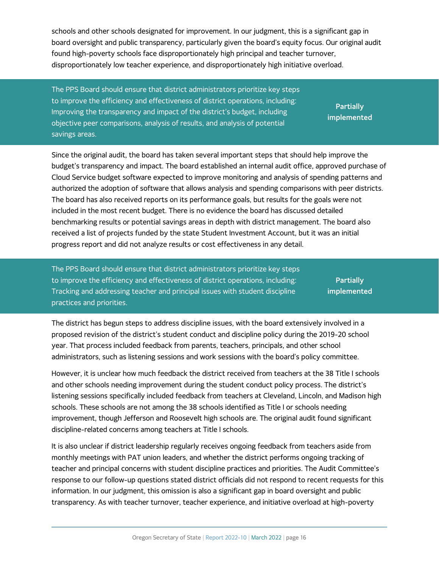schools and other schools designated for improvement. In our judgment, this is a significant gap in board oversight and public transparency, particularly given the board's equity focus. Our original audit found high-poverty schools face disproportionately high principal and teacher turnover, disproportionately low teacher experience, and disproportionately high initiative overload.

<span id="page-17-0"></span>The PPS Board should ensure that district administrators prioritize key steps to improve the efficiency and effectiveness of district operations, including: Improving the transparency and impact of the district's budget, including objective peer comparisons, analysis of results, and analysis of potential savings areas.

**Partially implemented**

Since the original audit, the board has taken several important steps that should help improve the budget's transparency and impact. The board established an internal audit office, approved purchase of Cloud Service budget software expected to improve monitoring and analysis of spending patterns and authorized the adoption of software that allows analysis and spending comparisons with peer districts. The board has also received reports on its performance goals, but results for the goals were not included in the most recent budget. There is no evidence the board has discussed detailed benchmarking results or potential savings areas in depth with district management. The board also received a list of projects funded by the state Student Investment Account, but it was an initial progress report and did not analyze results or cost effectiveness in any detail.

<span id="page-17-1"></span>The PPS Board should ensure that district administrators prioritize key steps to improve the efficiency and effectiveness of district operations, including: Tracking and addressing teacher and principal issues with student discipline practices and priorities.

**Partially implemented**

The district has begun steps to address discipline issues, with the board extensively involved in a proposed revision of the district's student conduct and discipline policy during the 2019-20 school year. That process included feedback from parents, teachers, principals, and other school administrators, such as listening sessions and work sessions with the board's policy committee.

However, it is unclear how much feedback the district received from teachers at the 38 Title I schools and other schools needing improvement during the student conduct policy process. The district's listening sessions specifically included feedback from teachers at Cleveland, Lincoln, and Madison high schools. These schools are not among the 38 schools identified as Title I or schools needing improvement, though Jefferson and Roosevelt high schools are. The original audit found significant discipline-related concerns among teachers at Title I schools.

It is also unclear if district leadership regularly receives ongoing feedback from teachers aside from monthly meetings with PAT union leaders, and whether the district performs ongoing tracking of teacher and principal concerns with student discipline practices and priorities. The Audit Committee's response to our follow-up questions stated district officials did not respond to recent requests for this information. In our judgment, this omission is also a significant gap in board oversight and public transparency. As with teacher turnover, teacher experience, and initiative overload at high-poverty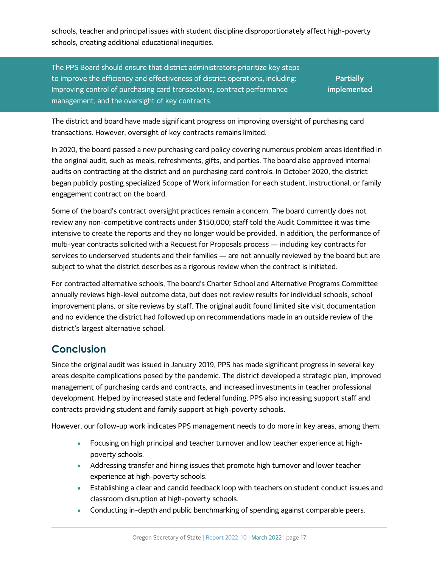schools, teacher and principal issues with student discipline disproportionately affect high-poverty schools, creating additional educational inequities.

The PPS Board should ensure that district administrators prioritize key steps to improve the efficiency and effectiveness of district operations, including: Improving control of purchasing card transactions, contract performance management, and the oversight of key contracts.

**Partially implemented**

The district and board have made significant progress on improving oversight of purchasing card transactions. However, oversight of key contracts remains limited.

In 2020, the board passed a new purchasing card policy covering numerous problem areas identified in the original audit, such as meals, refreshments, gifts, and parties. The board also approved internal audits on contracting at the district and on purchasing card controls. In October 2020, the district began publicly posting specialized Scope of Work information for each student, instructional, or family engagement contract on the board.

Some of the board's contract oversight practices remain a concern. The board currently does not review any non-competitive contracts under \$150,000; staff told the Audit Committee it was time intensive to create the reports and they no longer would be provided. In addition, the performance of multi-year contracts solicited with a Request for Proposals process — including key contracts for services to underserved students and their families — are not annually reviewed by the board but are subject to what the district describes as a rigorous review when the contract is initiated.

For contracted alternative schools, The board's Charter School and Alternative Programs Committee annually reviews high-level outcome data, but does not review results for individual schools, school improvement plans, or site reviews by staff. The original audit found limited site visit documentation and no evidence the district had followed up on recommendations made in an outside review of the district's largest alternative school.

#### **Conclusion**

Since the original audit was issued in January 2019, PPS has made significant progress in several key areas despite complications posed by the pandemic. The district developed a strategic plan, improved management of purchasing cards and contracts, and increased investments in teacher professional development. Helped by increased state and federal funding, PPS also increasing support staff and contracts providing student and family support at high-poverty schools.

However, our follow-up work indicates PPS management needs to do more in key areas, among them:

- Focusing on high principal and teacher turnover and low teacher experience at highpoverty schools.
- Addressing transfer and hiring issues that promote high turnover and lower teacher experience at high-poverty schools.
- Establishing a clear and candid feedback loop with teachers on student conduct issues and classroom disruption at high-poverty schools.
- Conducting in-depth and public benchmarking of spending against comparable peers.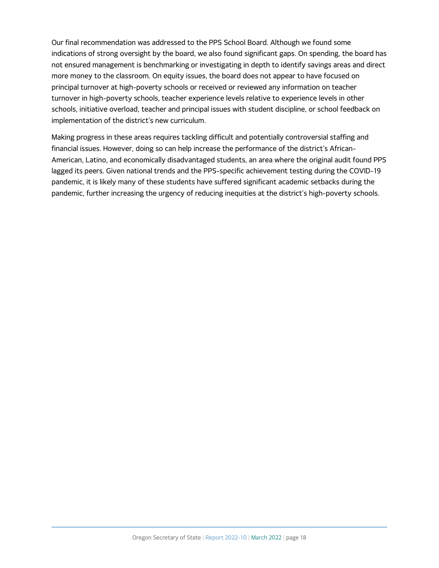Our final recommendation was addressed to the PPS School Board. Although we found some indications of strong oversight by the board, we also found significant gaps. On spending, the board has not ensured management is benchmarking or investigating in depth to identify savings areas and direct more money to the classroom. On equity issues, the board does not appear to have focused on principal turnover at high-poverty schools or received or reviewed any information on teacher turnover in high-poverty schools, teacher experience levels relative to experience levels in other schools, initiative overload, teacher and principal issues with student discipline, or school feedback on implementation of the district's new curriculum.

Making progress in these areas requires tackling difficult and potentially controversial staffing and financial issues. However, doing so can help increase the performance of the district's African-American, Latino, and economically disadvantaged students, an area where the original audit found PPS lagged its peers. Given national trends and the PPS-specific achievement testing during the COVID-19 pandemic, it is likely many of these students have suffered significant academic setbacks during the pandemic, further increasing the urgency of reducing inequities at the district's high-poverty schools.